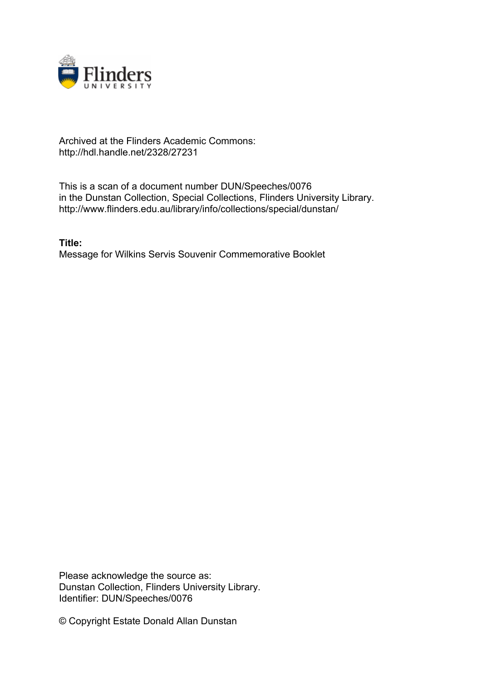

## Archived at the Flinders Academic Commons: http://hdl.handle.net/2328/27231

This is a scan of a document number DUN/Speeches/0076 in the Dunstan Collection, Special Collections, Flinders University Library. http://www.flinders.edu.au/library/info/collections/special/dunstan/

**Title:** Message for Wilkins Servis Souvenir Commemorative Booklet

Please acknowledge the source as: Dunstan Collection, Flinders University Library. Identifier: DUN/Speeches/0076

© Copyright Estate Donald Allan Dunstan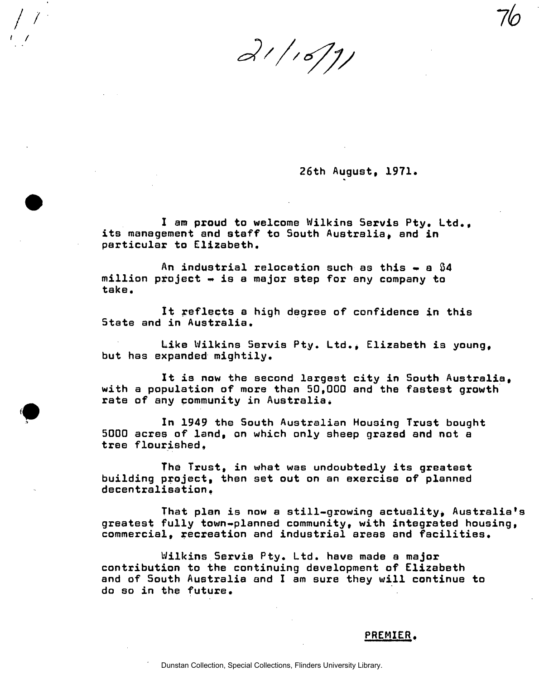$21/16/1/$ 

**26th August, 1971.** 

*Ik* 

**I am proud to welcome Wilkins Servis Pty. Ltd.,**  its management and staff to South Australia, and in **particular to Elizabeth.** 

**An industrial relocation such as this • a 84 million project « is a major step for any company to take.** 

**It reflects a high degree of confidence in this State and in Australia.** 

Like Wilkins Servis Pty. Ltd., Elizabeth is young, **but has expanded mightily.** 

**It is now the second largest city in South Australia, with a population of more than 50,000 and the fastest growth rate of any community in Australia \*** 

**In 1949 the South Australian Housing Trust bought 5000 acres of land, on which only sheep grazed and not a**  tree flourished.

**The Trust, in what was undoubtedly its greatest building project, then set out on an exercise of planned decentralisation »** 

That plan is now a still-growing actuality, Australia's **greatest fully town-planned community, with integrated housing commercial, recreation and industrial areas and facilities.** 

**Wilkins Servis Pty. Ltd. have made a major contribution to the continuing development of Elizabeth and of South Australia and I am sure they will continue to do so in the future.** 

## **PREMIER.**